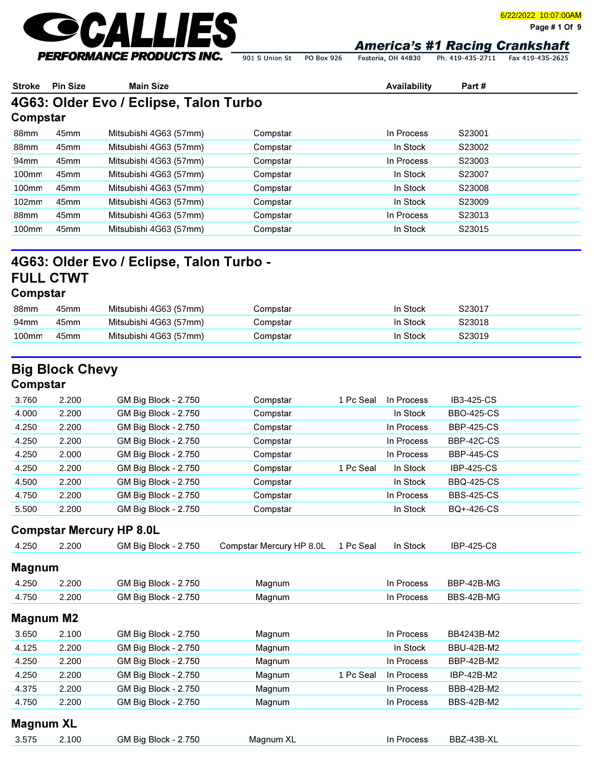

6/22/2022 10:07:00AM

Page # 1 Of 9

901 S Union St PO Box 926 Fostoria, OH 44830

Ph. 419-435-2711 Fax 419-435-2625

| <b>Stroke</b>     | <b>Pin Size</b>                 | <b>Main Size</b>                         |                          |           | Availability | Part#             |  |
|-------------------|---------------------------------|------------------------------------------|--------------------------|-----------|--------------|-------------------|--|
|                   |                                 | 4G63: Older Evo / Eclipse, Talon Turbo   |                          |           |              |                   |  |
| Compstar          |                                 |                                          |                          |           |              |                   |  |
| 88mm              | 45mm                            | Mitsubishi 4G63 (57mm)                   | Compstar                 |           | In Process   | S23001            |  |
| 88mm              | 45mm                            | Mitsubishi 4G63 (57mm)                   | Compstar                 |           | In Stock     | S23002            |  |
| 94mm              | 45mm                            | Mitsubishi 4G63 (57mm)                   | Compstar                 |           | In Process   | S23003            |  |
| 100mm             | 45mm                            | Mitsubishi 4G63 (57mm)                   | Compstar                 |           | In Stock     | S23007            |  |
| 100mm             | 45mm                            | Mitsubishi 4G63 (57mm)                   | Compstar                 |           | In Stock     | S23008            |  |
| 102mm             | 45mm                            | Mitsubishi 4G63 (57mm)                   | Compstar                 |           | In Stock     | S23009            |  |
| 88mm              | 45mm                            | Mitsubishi 4G63 (57mm)                   | Compstar                 |           | In Process   | S23013            |  |
| 100mm             | 45mm                            | Mitsubishi 4G63 (57mm)                   | Compstar                 |           | In Stock     | S23015            |  |
| Compstar          | <b>FULL CTWT</b>                | 4G63: Older Evo / Eclipse, Talon Turbo - |                          |           |              |                   |  |
| 88mm              | 45mm                            | Mitsubishi 4G63 (57mm)                   | Compstar                 |           | In Stock     | S23017            |  |
| 94mm              | 45mm                            | Mitsubishi 4G63 (57mm)                   | Compstar                 |           | In Stock     | S23018            |  |
| 100mm             | 45mm                            | Mitsubishi 4G63 (57mm)                   | Compstar                 |           | In Stock     | S23019            |  |
| Compstar<br>3.760 | <b>Big Block Chevy</b><br>2.200 | GM Big Block - 2.750                     | Compstar                 | 1 Pc Seal | In Process   | IB3-425-CS        |  |
| 4.000             | 2.200                           | GM Big Block - 2.750                     | Compstar                 |           | In Stock     | <b>BBO-425-CS</b> |  |
| 4.250             | 2.200                           | GM Big Block - 2.750                     | Compstar                 |           | In Process   | <b>BBP-425-CS</b> |  |
| 4.250             | 2.200                           | GM Big Block - 2.750                     | Compstar                 |           | In Process   | BBP-42C-CS        |  |
| 4.250             | 2.000                           | GM Big Block - 2.750                     | Compstar                 |           | In Process   | <b>BBP-445-CS</b> |  |
| 4.250             | 2.200                           | GM Big Block - 2.750                     | Compstar                 | 1 Pc Seal | In Stock     | <b>IBP-425-CS</b> |  |
| 4.500             | 2.200                           | GM Big Block - 2.750                     | Compstar                 |           | In Stock     | <b>BBQ-425-CS</b> |  |
| 4.750             | 2.200                           | GM Big Block - 2.750                     | Compstar                 |           | In Process   | <b>BBS-425-CS</b> |  |
| 5.500             | 2.200                           | GM Big Block - 2.750                     | Compstar                 |           | In Stock     | BQ+-426-CS        |  |
|                   |                                 | <b>Compstar Mercury HP 8.0L</b>          |                          |           |              |                   |  |
| 4.250             | 2.200                           | GM Big Block - 2.750                     | Compstar Mercury HP 8.0L | 1 Pc Seal | In Stock     | IBP-425-C8        |  |
| <b>Magnum</b>     |                                 |                                          |                          |           |              |                   |  |
| 4.250             | 2.200                           | GM Big Block - 2.750                     | Magnum                   |           | In Process   | BBP-42B-MG        |  |
| 4.750             | 2.200                           | GM Big Block - 2.750                     | Magnum                   |           | In Process   | BBS-42B-MG        |  |
| <b>Magnum M2</b>  |                                 |                                          |                          |           |              |                   |  |
| 3.650             | 2.100                           | GM Big Block - 2.750                     | Magnum                   |           | In Process   | BB4243B-M2        |  |
| 4.125             | 2.200                           | GM Big Block - 2.750                     | Magnum                   |           | In Stock     | <b>BBU-42B-M2</b> |  |
| 4.250             | 2.200                           | GM Big Block - 2.750                     | Magnum                   |           | In Process   | BBP-42B-M2        |  |
| 4.250             | 2.200                           | GM Big Block - 2.750                     | Magnum                   | 1 Pc Seal | In Process   | IBP-42B-M2        |  |

| 3.575 | 2.100 | GM Big Block - 2.750 | Magnum X | Process<br>In | BBZ-43B-XL |  |
|-------|-------|----------------------|----------|---------------|------------|--|
|       |       |                      |          |               |            |  |

4.375 2.200 GM Big Block - 2.750 Magnum In Process BBB-42B-M2 4.750 2.200 GM Big Block - 2.750 Magnum In Process BBS-42B-M2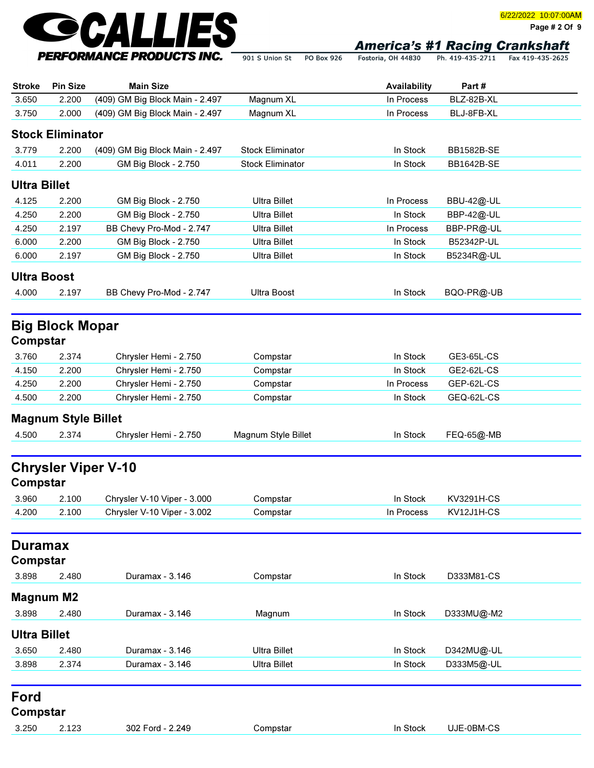

Page # 2 Of 9

Fostoria, OH 44830 Ph. 419-435-2711 Fax 419-435-2625 901 S Union St PO Box 926

| <b>Stroke</b>       | <b>Pin Size</b>            | <b>Main Size</b>                                           |                         | Availability | Part#                    |  |
|---------------------|----------------------------|------------------------------------------------------------|-------------------------|--------------|--------------------------|--|
| 3.650               | 2.200                      | (409) GM Big Block Main - 2.497                            | Magnum XL               | In Process   | BLZ-82B-XL               |  |
| 3.750               | 2.000                      | (409) GM Big Block Main - 2.497                            | Magnum XL               | In Process   | BLJ-8FB-XL               |  |
|                     | <b>Stock Eliminator</b>    |                                                            |                         |              |                          |  |
| 3.779               | 2.200                      | (409) GM Big Block Main - 2.497                            | <b>Stock Eliminator</b> | In Stock     | <b>BB1582B-SE</b>        |  |
| 4.011               | 2.200                      | GM Big Block - 2.750                                       | <b>Stock Eliminator</b> | In Stock     | BB1642B-SE               |  |
|                     |                            |                                                            |                         |              |                          |  |
| <b>Ultra Billet</b> |                            |                                                            |                         |              |                          |  |
| 4.125               | 2.200                      | GM Big Block - 2.750                                       | <b>Ultra Billet</b>     | In Process   | <b>BBU-42@-UL</b>        |  |
| 4.250               | 2.200                      | GM Big Block - 2.750                                       | <b>Ultra Billet</b>     | In Stock     | BBP-42@-UL               |  |
| 4.250               | 2.197                      | BB Chevy Pro-Mod - 2.747                                   | <b>Ultra Billet</b>     | In Process   | BBP-PR@-UL               |  |
| 6.000               | 2.200                      | GM Big Block - 2.750                                       | <b>Ultra Billet</b>     | In Stock     | B52342P-UL               |  |
| 6.000               | 2.197                      | GM Big Block - 2.750                                       | <b>Ultra Billet</b>     | In Stock     | B5234R@-UL               |  |
| <b>Ultra Boost</b>  |                            |                                                            |                         |              |                          |  |
| 4.000               | 2.197                      | BB Chevy Pro-Mod - 2.747                                   | <b>Ultra Boost</b>      | In Stock     | BQO-PR@-UB               |  |
|                     |                            |                                                            |                         |              |                          |  |
|                     | <b>Big Block Mopar</b>     |                                                            |                         |              |                          |  |
| Compstar            |                            |                                                            |                         |              |                          |  |
| 3.760               | 2.374                      | Chrysler Hemi - 2.750                                      | Compstar                | In Stock     | GE3-65L-CS               |  |
| 4.150               | 2.200                      | Chrysler Hemi - 2.750                                      | Compstar                | In Stock     | GE2-62L-CS               |  |
| 4.250               | 2.200                      | Chrysler Hemi - 2.750                                      | Compstar                | In Process   | GEP-62L-CS               |  |
| 4.500               | 2.200                      | Chrysler Hemi - 2.750                                      | Compstar                | In Stock     | GEQ-62L-CS               |  |
|                     | <b>Magnum Style Billet</b> |                                                            |                         |              |                          |  |
|                     |                            |                                                            |                         |              |                          |  |
| 4.500               | 2.374                      | Chrysler Hemi - 2.750                                      | Magnum Style Billet     | In Stock     | FEQ-65@-MB               |  |
|                     |                            | <b>Chrysler Viper V-10</b>                                 |                         |              |                          |  |
| Compstar            |                            |                                                            |                         |              |                          |  |
|                     |                            |                                                            |                         |              |                          |  |
| 3.960<br>4.200      | 2.100                      | Chrysler V-10 Viper - 3.000<br>Chrysler V-10 Viper - 3.002 | Compstar                | In Stock     | KV3291H-CS<br>KV12J1H-CS |  |
|                     | 2.100                      |                                                            | Compstar                | In Process   |                          |  |
| <b>Duramax</b>      |                            |                                                            |                         |              |                          |  |
|                     |                            |                                                            |                         |              |                          |  |
| Compstar            |                            |                                                            |                         |              |                          |  |
| 3.898               | 2.480                      | Duramax - 3.146                                            | Compstar                | In Stock     | D333M81-CS               |  |
| <b>Magnum M2</b>    |                            |                                                            |                         |              |                          |  |
| 3.898               | 2.480                      | Duramax - 3.146                                            | Magnum                  | In Stock     | D333MU@-M2               |  |
| <b>Ultra Billet</b> |                            |                                                            |                         |              |                          |  |
| 3.650               | 2.480                      | Duramax - 3.146                                            | <b>Ultra Billet</b>     | In Stock     | D342MU@-UL               |  |
| 3.898               | 2.374                      | Duramax - 3.146                                            | <b>Ultra Billet</b>     | In Stock     | D333M5@-UL               |  |
|                     |                            |                                                            |                         |              |                          |  |
| Ford                |                            |                                                            |                         |              |                          |  |
|                     |                            |                                                            |                         |              |                          |  |
| Compstar            |                            |                                                            |                         |              |                          |  |
| 3.250               | 2.123                      | 302 Ford - 2.249                                           | Compstar                | In Stock     | UJE-0BM-CS               |  |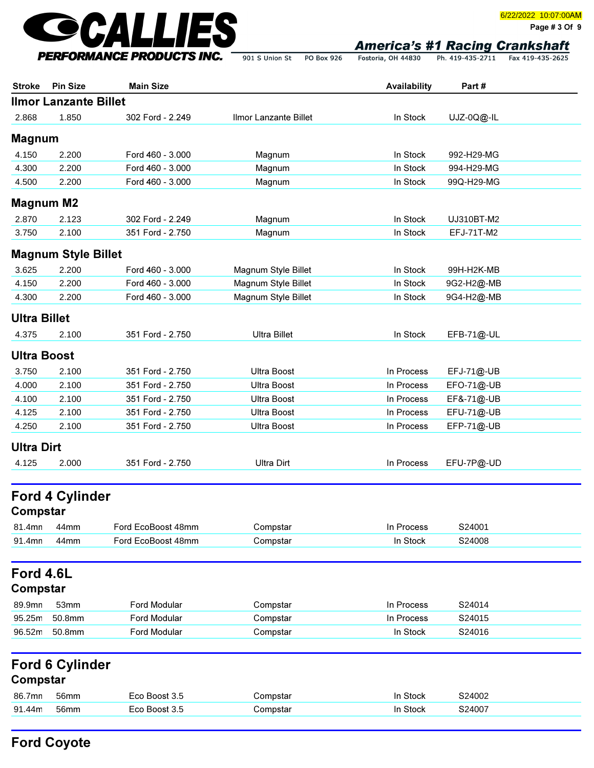

Page # 3 Of 9

| <b>Stroke</b>       | <b>Pin Size</b>              | <b>Main Size</b>   |                       | Availability | Part#      |
|---------------------|------------------------------|--------------------|-----------------------|--------------|------------|
|                     | <b>Ilmor Lanzante Billet</b> |                    |                       |              |            |
| 2.868               | 1.850                        | 302 Ford - 2.249   | Ilmor Lanzante Billet | In Stock     | UJZ-0Q@-IL |
| <b>Magnum</b>       |                              |                    |                       |              |            |
| 4.150               | 2.200                        | Ford 460 - 3.000   | Magnum                | In Stock     | 992-H29-MG |
| 4.300               | 2.200                        | Ford 460 - 3.000   | Magnum                | In Stock     | 994-H29-MG |
| 4.500               | 2.200                        | Ford 460 - 3.000   | Magnum                | In Stock     | 99Q-H29-MG |
|                     | <b>Magnum M2</b>             |                    |                       |              |            |
|                     |                              |                    |                       |              |            |
| 2.870               | 2.123                        | 302 Ford - 2.249   | Magnum                | In Stock     | UJ310BT-M2 |
| 3.750               | 2.100                        | 351 Ford - 2.750   | Magnum                | In Stock     | EFJ-71T-M2 |
|                     | <b>Magnum Style Billet</b>   |                    |                       |              |            |
| 3.625               | 2.200                        | Ford 460 - 3.000   | Magnum Style Billet   | In Stock     | 99H-H2K-MB |
| 4.150               | 2.200                        | Ford 460 - 3.000   | Magnum Style Billet   | In Stock     | 9G2-H2@-MB |
| 4.300               | 2.200                        | Ford 460 - 3.000   | Magnum Style Billet   | In Stock     | 9G4-H2@-MB |
| <b>Ultra Billet</b> |                              |                    |                       |              |            |
| 4.375               | 2.100                        | 351 Ford - 2.750   | <b>Ultra Billet</b>   | In Stock     | EFB-71@-UL |
|                     |                              |                    |                       |              |            |
| <b>Ultra Boost</b>  |                              |                    |                       |              |            |
| 3.750               | 2.100                        | 351 Ford - 2.750   | <b>Ultra Boost</b>    | In Process   | EFJ-71@-UB |
| 4.000               | 2.100                        | 351 Ford - 2.750   | <b>Ultra Boost</b>    | In Process   | EFO-71@-UB |
| 4.100               | 2.100                        | 351 Ford - 2.750   | <b>Ultra Boost</b>    | In Process   | EF&-71@-UB |
| 4.125               | 2.100                        | 351 Ford - 2.750   | <b>Ultra Boost</b>    | In Process   | EFU-71@-UB |
| 4.250               | 2.100                        | 351 Ford - 2.750   | <b>Ultra Boost</b>    | In Process   | EFP-71@-UB |
| <b>Ultra Dirt</b>   |                              |                    |                       |              |            |
| 4.125               | 2.000                        | 351 Ford - 2.750   | <b>Ultra Dirt</b>     | In Process   | EFU-7P@-UD |
|                     | <b>Ford 4 Cylinder</b>       |                    |                       |              |            |
| Compstar            |                              |                    |                       |              |            |
| 81.4mn              | 44mm                         | Ford EcoBoost 48mm | Compstar              | In Process   | S24001     |
| 91.4mn              | 44mm                         | Ford EcoBoost 48mm | Compstar              | In Stock     | S24008     |
| Ford 4.6L           |                              |                    |                       |              |            |
| Compstar            |                              |                    |                       |              |            |
| 89.9mn              | 53mm                         | Ford Modular       | Compstar              | In Process   | S24014     |
| 95.25m              | 50.8mm                       | Ford Modular       | Compstar              | In Process   | S24015     |
| 96.52m              | 50.8mm                       | Ford Modular       | Compstar              | In Stock     | S24016     |
|                     | <b>Ford 6 Cylinder</b>       |                    |                       |              |            |
| Compstar            |                              |                    |                       |              |            |
| 86.7mn              | 56mm                         | Eco Boost 3.5      | Compstar              | In Stock     | S24002     |
| 91.44m              | <b>56mm</b>                  | Eco Boost 3.5      | Compstar              | In Stock     | S24007     |

PO Box 926

# Ford Coyote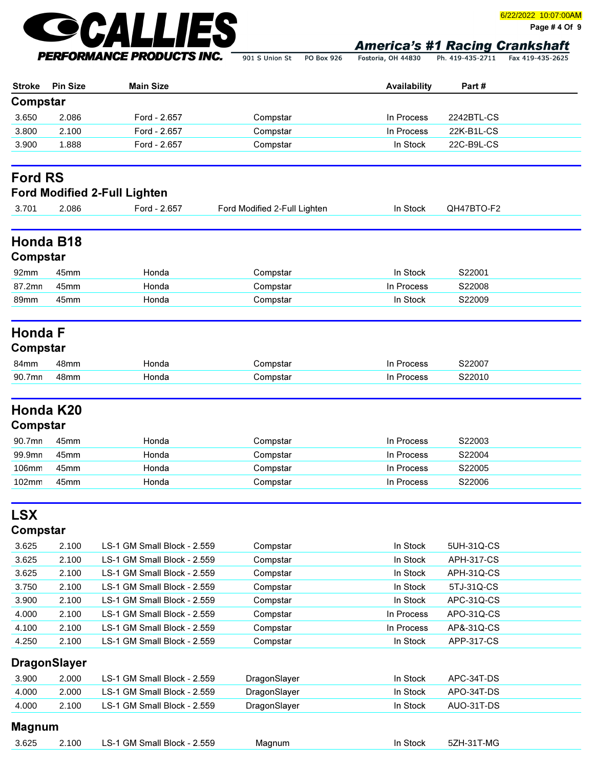

Page # 4 Of 9

Fostoria, OH 44830 Ph. 419-435-2711 Fax 419-435-2625

|               |                  | PERFORMANCE PRODUCTS INC.                           | 901 S Union St<br><b>PO Box 926</b> | Fostoria, OH 44830 | Ph. 419-435-2711 | Fax 419-435-2625 |
|---------------|------------------|-----------------------------------------------------|-------------------------------------|--------------------|------------------|------------------|
| <b>Stroke</b> | <b>Pin Size</b>  | <b>Main Size</b>                                    |                                     | Availability       | Part#            |                  |
| Compstar      |                  |                                                     |                                     |                    |                  |                  |
| 3.650         | 2.086            | Ford - 2.657                                        | Compstar                            | In Process         | 2242BTL-CS       |                  |
| 3.800         | 2.100            | Ford - 2.657                                        | Compstar                            | In Process         | 22K-B1L-CS       |                  |
| 3.900         | 1.888            | Ford - 2.657                                        | Compstar                            | In Stock           | 22C-B9L-CS       |                  |
| 3.701         | 2.086            | <b>Ford Modified 2-Full Lighten</b><br>Ford - 2.657 | Ford Modified 2-Full Lighten        | In Stock           | QH47BTO-F2       |                  |
| Compstar      | <b>Honda B18</b> |                                                     |                                     |                    |                  |                  |
| 92mm          | 45mm             | Honda                                               | Compstar                            | In Stock           | S22001           |                  |
| 87.2mn        | 45mm             | Honda                                               | Compstar                            | In Process         | S22008           |                  |
| 89mm          | 45 <sub>mm</sub> | Honda                                               | Compstar                            | In Stock           | S22009           |                  |

# Honda F

# Compstar

| 84mm                                   | ----                 |  |  |
|----------------------------------------|----------------------|--|--|
| 90.7<br>$\overline{\phantom{a}}$<br>mr | $\sim$ $\sim$ $\sim$ |  |  |

## Honda K20

#### Compstar

| 90.7mn          | 45mm | Honda | Compstar | In Process | S22003 |
|-----------------|------|-------|----------|------------|--------|
| 99.9mn          | 45mm | Honda | Compstar | In Process | S22004 |
| 106mm           | 45mm | Honda | Compstar | In Process | S22005 |
| $102 \text{mm}$ | 45mm | Honda | Compstar | In Process | S22006 |

# LSX

### Compstar

| 3.625 | 2.100 | LS-1 GM Small Block - 2.559 | Compstar | In Stock   | 5UH-31Q-CS        |  |
|-------|-------|-----------------------------|----------|------------|-------------------|--|
| 3.625 | 2.100 | LS-1 GM Small Block - 2.559 | Compstar | In Stock   | <b>APH-317-CS</b> |  |
| 3.625 | 2.100 | LS-1 GM Small Block - 2.559 | Compstar | In Stock   | APH-31Q-CS        |  |
| 3.750 | 2.100 | LS-1 GM Small Block - 2.559 | Compstar | In Stock   | 5TJ-31Q-CS        |  |
| 3.900 | 2.100 | LS-1 GM Small Block - 2.559 | Compstar | In Stock   | APC-31Q-CS        |  |
| 4.000 | 2.100 | LS-1 GM Small Block - 2.559 | Compstar | In Process | APO-31Q-CS        |  |
| 4.100 | 2.100 | LS-1 GM Small Block - 2.559 | Compstar | In Process | AP&-31Q-CS        |  |
| 4.250 | 2.100 | LS-1 GM Small Block - 2.559 | Compstar | In Stock   | APP-317-CS        |  |

### DragonSlayer

| 3.900 | 2.000 | LS-1 GM Small Block - 2.559 | DragonSlayer | In Stock<br>APC-34T-DS |
|-------|-------|-----------------------------|--------------|------------------------|
| 4.000 | 2.000 | LS-1 GM Small Block - 2.559 | DragonSlayer | In Stock<br>APO-34T-DS |
| 4.000 | 2.100 | LS-1 GM Small Block - 2.559 | DragonSlayer | AUO-31T-DS<br>In Stock |

#### Magnum

| 3.625 | 100 | 2.559<br>Block<br>Small<br>- G-<br>uvit J | Magnun<br>. . | T-MC<br>Stock<br>. .<br>JZ |
|-------|-----|-------------------------------------------|---------------|----------------------------|
|       |     |                                           |               |                            |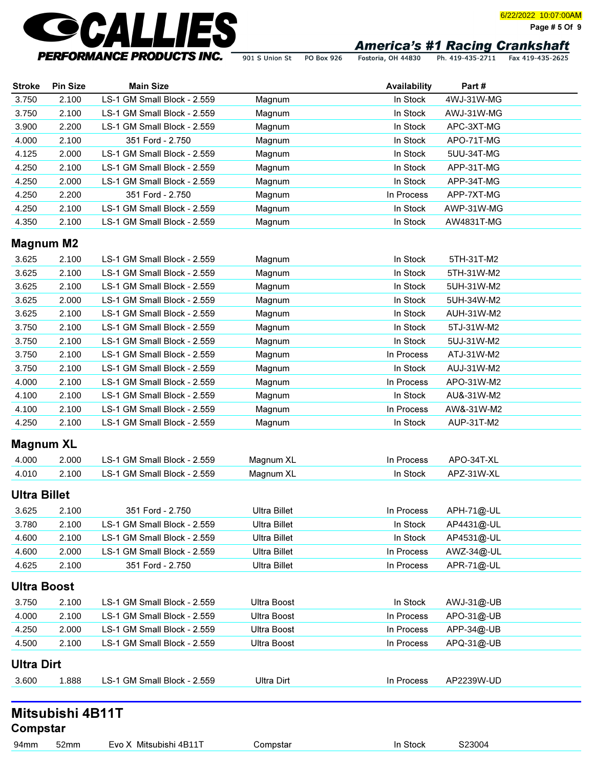

Page # 5 Of 9

901 S Union St PO Box 926 Fostoria, OH 44830 Ph. 419-435-2711 Fax 419-435-2625

| <b>Stroke</b> | <b>Pin Size</b>  | <b>Main Size</b>            |        | Availability | Part#       |  |
|---------------|------------------|-----------------------------|--------|--------------|-------------|--|
| 3.750         | 2.100            | LS-1 GM Small Block - 2.559 | Magnum | In Stock     | 4WJ-31W-MG  |  |
| 3.750         | 2.100            | LS-1 GM Small Block - 2.559 | Magnum | In Stock     | AWJ-31W-MG  |  |
| 3.900         | 2.200            | LS-1 GM Small Block - 2.559 | Magnum | In Stock     | APC-3XT-MG  |  |
| 4.000         | 2.100            | 351 Ford - 2.750            | Magnum | In Stock     | APO-71T-MG  |  |
| 4.125         | 2.000            | LS-1 GM Small Block - 2.559 | Magnum | In Stock     | 5UU-34T-MG  |  |
| 4.250         | 2.100            | LS-1 GM Small Block - 2.559 | Magnum | In Stock     | APP-31T-MG  |  |
| 4.250         | 2.000            | LS-1 GM Small Block - 2.559 | Magnum | In Stock     | APP-34T-MG  |  |
| 4.250         | 2.200            | 351 Ford - 2.750            | Magnum | In Process   | APP-7XT-MG  |  |
| 4.250         | 2.100            | LS-1 GM Small Block - 2.559 | Magnum | In Stock     | AWP-31W-MG  |  |
| 4.350         | 2.100            | LS-1 GM Small Block - 2.559 | Magnum | In Stock     | AW4831T-MG  |  |
|               | <b>Magnum M2</b> |                             |        |              |             |  |
| 3.625         | 2.100            | LS-1 GM Small Block - 2.559 | Magnum | In Stock     | 5TH-31T-M2  |  |
| 3.625         | 2.100            | LS-1 GM Small Block - 2.559 | Magnum | In Stock     | 5TH-31W-M2  |  |
| 3.625         | 2.100            | LS-1 GM Small Block - 2.559 | Magnum | In Stock     | 5UH-31W-M2  |  |
| 3.625         | 2.000            | LS-1 GM Small Block - 2.559 | Magnum | In Stock     | 5UH-34W-M2  |  |
| 3.625         | 2.100            | LS-1 GM Small Block - 2.559 | Magnum | In Stock     | AUH-31W-M2  |  |
| 3.750         | 2.100            | LS-1 GM Small Block - 2.559 | Magnum | In Stock     | 5TJ-31W-M2  |  |
| 3 750.        | 2.100            | S-1 GM Small Block - 2 559  | Magnum | In Stock     | 5111-31W-M2 |  |

| 3.750 | 2.100 | LS-1 GM Small Block - 2.559 | Magnum | 5UJ-31W-M2<br>In Stock   |
|-------|-------|-----------------------------|--------|--------------------------|
| 3.750 | 2.100 | LS-1 GM Small Block - 2.559 | Magnum | ATJ-31W-M2<br>In Process |
| 3.750 | 2.100 | LS-1 GM Small Block - 2.559 | Magnum | AUJ-31W-M2<br>In Stock   |
| 4.000 | 2.100 | LS-1 GM Small Block - 2.559 | Magnum | APO-31W-M2<br>In Process |
| 4.100 | 2.100 | LS-1 GM Small Block - 2.559 | Magnum | In Stock<br>AU&-31W-M2   |
| 4.100 | 2.100 | LS-1 GM Small Block - 2.559 | Magnum | AW&-31W-M2<br>In Process |
| 4.250 | 2.100 | LS-1 GM Small Block - 2.559 | Magnum | AUP-31T-M2<br>In Stock   |

#### Magnum XL

| 4.000 | 2.000 | 2.559<br><sup>4</sup> GM Small Block - 2.<br>∟S-1 | _Magnum X∟ | $APO-34T-XI$<br>'rocess   |  |
|-------|-------|---------------------------------------------------|------------|---------------------------|--|
| 4.010 | 2.100 | 2.559<br>LS-1 GM Small Block - 2.                 | Magnum XL  | Z-31W-XL<br>Stock<br>4D7. |  |

#### Ultra Billet

| 3.625 | 2.100 | 351 Ford - 2.750            | Ultra Billet | APH-71@-UL<br>In Process |
|-------|-------|-----------------------------|--------------|--------------------------|
| 3.780 | 2.100 | LS-1 GM Small Block - 2.559 | Ultra Billet | AP4431@-UL<br>In Stock   |
| 4.600 | 2.100 | LS-1 GM Small Block - 2.559 | Ultra Billet | In Stock<br>AP4531@-UL   |
| 4.600 | 2.000 | LS-1 GM Small Block - 2.559 | Ultra Billet | AWZ-34@-UL<br>In Process |
| 4.625 | 2.100 | 351 Ford - 2.750            | Ultra Billet | APR-71@-UL<br>In Process |

#### Ultra Boost

| 3.750             | 2.100 | LS-1 GM Small Block - 2.559 | Ultra Boost | In Stock<br>AWJ-31@-UB   |
|-------------------|-------|-----------------------------|-------------|--------------------------|
| 4.000             | 2.100 | LS-1 GM Small Block - 2.559 | Ultra Boost | APO-31@-UB<br>In Process |
| 4.250             | 2.000 | LS-1 GM Small Block - 2.559 | Ultra Boost | APP-34@-UB<br>In Process |
| 4.500             | 2.100 | LS-1 GM Small Block - 2.559 | Ultra Boost | APQ-31@-UB<br>In Process |
| <b>Ultra Dirt</b> |       |                             |             |                          |
| 3.600             | 1.888 | LS-1 GM Small Block - 2.559 | Ultra Dirt  | AP2239W-UD<br>In Process |

# Mitsubishi 4B11T

**Compstar**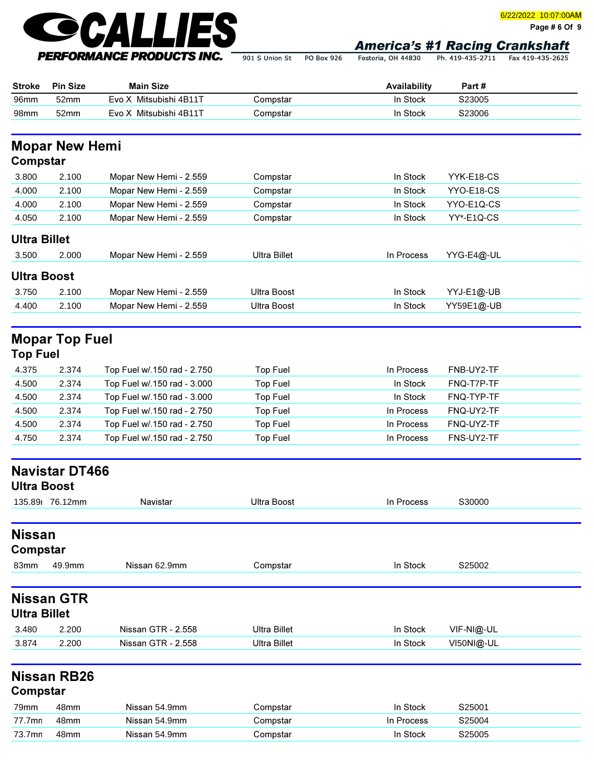

Page # 6 Of 9

|                     |                       | FERFURMANUE FRUDUCI 3 INU.  | 901 S Union St      | <b>PO BOX 926</b> | Fostoria, OH 44830 | Ph. 419-435-2/11 | Fax 419-435-2625 |
|---------------------|-----------------------|-----------------------------|---------------------|-------------------|--------------------|------------------|------------------|
| <b>Stroke</b>       | <b>Pin Size</b>       | <b>Main Size</b>            |                     |                   | Availability       | Part#            |                  |
| 96mm                | 52mm                  | Evo X Mitsubishi 4B11T      | Compstar            |                   | In Stock           | S23005           |                  |
| 98mm                | 52mm                  | Evo X Mitsubishi 4B11T      | Compstar            |                   | In Stock           | S23006           |                  |
| Compstar            | <b>Mopar New Hemi</b> |                             |                     |                   |                    |                  |                  |
| 3.800               | 2.100                 | Mopar New Hemi - 2.559      | Compstar            |                   | In Stock           | YYK-E18-CS       |                  |
| 4.000               | 2.100                 | Mopar New Hemi - 2.559      | Compstar            |                   | In Stock           | YYO-E18-CS       |                  |
| 4.000               | 2.100                 | Mopar New Hemi - 2.559      | Compstar            |                   | In Stock           | YYO-E1Q-CS       |                  |
| 4.050               | 2.100                 | Mopar New Hemi - 2.559      | Compstar            |                   | In Stock           | YY*-E1Q-CS       |                  |
| <b>Ultra Billet</b> |                       |                             |                     |                   |                    |                  |                  |
| 3.500               | 2.000                 | Mopar New Hemi - 2.559      | <b>Ultra Billet</b> |                   | In Process         | YYG-E4@-UL       |                  |
| <b>Ultra Boost</b>  |                       |                             |                     |                   |                    |                  |                  |
| 3.750               | 2.100                 | Mopar New Hemi - 2.559      | <b>Ultra Boost</b>  |                   | In Stock           | YYJ-E1@-UB       |                  |
| 4.400               | 2.100                 | Mopar New Hemi - 2.559      | <b>Ultra Boost</b>  |                   | In Stock           | YY59E1@-UB       |                  |
|                     | <b>Mopar Top Fuel</b> |                             |                     |                   |                    |                  |                  |
| <b>Top Fuel</b>     |                       |                             |                     |                   |                    |                  |                  |
| 4.375               | 2.374                 | Top Fuel w/.150 rad - 2.750 | Top Fuel            |                   | In Process         | FNB-UY2-TF       |                  |
| 4.500               | 2.374                 | Top Fuel w/.150 rad - 3.000 | <b>Top Fuel</b>     |                   | In Stock           | FNQ-T7P-TF       |                  |
| 4.500               | 2.374                 | Top Fuel w/.150 rad - 3.000 | <b>Top Fuel</b>     |                   | In Stock           | FNQ-TYP-TF       |                  |
| 4.500               | 2.374                 | Top Fuel w/.150 rad - 2.750 | <b>Top Fuel</b>     |                   | In Process         | FNQ-UY2-TF       |                  |
| 4.500               | 2.374                 | Top Fuel w/.150 rad - 2.750 | <b>Top Fuel</b>     |                   | In Process         | FNQ-UYZ-TF       |                  |

| <b>Ultra Boost</b>  | <b>Navistar DT466</b> |                    |                     |            |            |  |
|---------------------|-----------------------|--------------------|---------------------|------------|------------|--|
|                     | 135.89 76.12mm        | Navistar           | <b>Ultra Boost</b>  | In Process | S30000     |  |
|                     |                       |                    |                     |            |            |  |
| <b>Nissan</b>       |                       |                    |                     |            |            |  |
| Compstar            |                       |                    |                     |            |            |  |
| 83mm                | 49.9mm                | Nissan 62.9mm      | Compstar            | In Stock   | S25002     |  |
| <b>Ultra Billet</b> | <b>Nissan GTR</b>     |                    |                     |            |            |  |
| 3.480               | 2.200                 | Nissan GTR - 2.558 | <b>Ultra Billet</b> | In Stock   | VIF-NI@-UL |  |
| 3.874               | 2.200                 | Nissan GTR - 2.558 | <b>Ultra Billet</b> | In Stock   | VI50NI@-UL |  |
| Compstar            | <b>Nissan RB26</b>    |                    |                     |            |            |  |
| 79mm                | 48mm                  | Nissan 54.9mm      | Compstar            | In Stock   | S25001     |  |
| 77.7mn              | 48mm                  | Nissan 54.9mm      | Compstar            | In Process | S25004     |  |
| 73.7mn              | 48mm                  | Nissan 54.9mm      | Compstar            | In Stock   | S25005     |  |

4.750 2.374 Top Fuel w/.150 rad - 2.750 Top Fuel In Process FNS-UY2-TF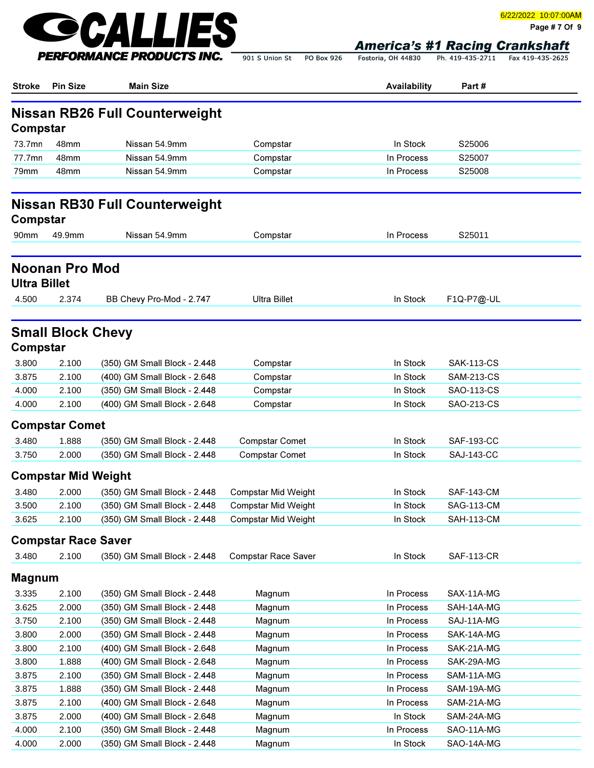

Page # 7 Of 9

Fostoria, OH 44830 Ph. 419-435-2711 Fax 419-435-2625

| <b>Stroke</b>       | <b>Pin Size</b>            | <b>Main Size</b>                      |                            | Availability | Part#             |  |
|---------------------|----------------------------|---------------------------------------|----------------------------|--------------|-------------------|--|
| Compstar            |                            | <b>Nissan RB26 Full Counterweight</b> |                            |              |                   |  |
| 73.7mn              | 48 <sub>mm</sub>           | Nissan 54.9mm                         | Compstar                   | In Stock     | S25006            |  |
| 77.7mn              | 48mm                       | Nissan 54.9mm                         | Compstar                   | In Process   | S25007            |  |
| 79mm                | 48 <sub>mm</sub>           | Nissan 54.9mm                         | Compstar                   | In Process   | S25008            |  |
| Compstar            |                            | <b>Nissan RB30 Full Counterweight</b> |                            |              |                   |  |
| 90mm                | 49.9mm                     | Nissan 54.9mm                         | Compstar                   | In Process   | S25011            |  |
| <b>Ultra Billet</b> | <b>Noonan Pro Mod</b>      |                                       |                            |              |                   |  |
| 4.500               | 2.374                      | BB Chevy Pro-Mod - 2.747              | <b>Ultra Billet</b>        | In Stock     | F1Q-P7@-UL        |  |
| Compstar            | <b>Small Block Chevy</b>   |                                       |                            |              |                   |  |
| 3.800               | 2.100                      | (350) GM Small Block - 2.448          | Compstar                   | In Stock     | <b>SAK-113-CS</b> |  |
| 3.875               | 2.100                      | (400) GM Small Block - 2.648          | Compstar                   | In Stock     | <b>SAM-213-CS</b> |  |
| 4.000               | 2.100                      | (350) GM Small Block - 2.448          | Compstar                   | In Stock     | SAO-113-CS        |  |
| 4.000               | 2.100                      | (400) GM Small Block - 2.648          | Compstar                   | In Stock     | SAO-213-CS        |  |
|                     | <b>Compstar Comet</b>      |                                       |                            |              |                   |  |
| 3.480               | 1.888                      | (350) GM Small Block - 2.448          | <b>Compstar Comet</b>      | In Stock     | <b>SAF-193-CC</b> |  |
| 3.750               | 2.000                      | (350) GM Small Block - 2.448          | <b>Compstar Comet</b>      | In Stock     | <b>SAJ-143-CC</b> |  |
|                     |                            |                                       |                            |              |                   |  |
|                     | <b>Compstar Mid Weight</b> |                                       |                            |              |                   |  |
| 3.480               | 2.000                      | (350) GM Small Block - 2.448          | <b>Compstar Mid Weight</b> | In Stock     | <b>SAF-143-CM</b> |  |
| 3.500               | 2.100                      | (350) GM Small Block - 2.448          | <b>Compstar Mid Weight</b> | In Stock     | SAG-113-CM        |  |
| 3.625               | 2.100                      | (350) GM Small Block - 2.448          | <b>Compstar Mid Weight</b> | In Stock     | <b>SAH-113-CM</b> |  |
|                     | <b>Compstar Race Saver</b> |                                       |                            |              |                   |  |
| 3.480               | 2.100                      | (350) GM Small Block - 2.448          | Compstar Race Saver        | In Stock     | <b>SAF-113-CR</b> |  |
| <b>Magnum</b>       |                            |                                       |                            |              |                   |  |
| 3.335               | 2.100                      | (350) GM Small Block - 2.448          | Magnum                     | In Process   | SAX-11A-MG        |  |
| 3.625               | 2.000                      | (350) GM Small Block - 2.448          | Magnum                     | In Process   | SAH-14A-MG        |  |
| 3.750               | 2.100                      | (350) GM Small Block - 2.448          | Magnum                     | In Process   | SAJ-11A-MG        |  |
| 3.800               | 2.000                      | (350) GM Small Block - 2.448          | Magnum                     | In Process   | SAK-14A-MG        |  |
| 3.800               | 2.100                      | (400) GM Small Block - 2.648          | Magnum                     | In Process   | SAK-21A-MG        |  |
| 3.800               | 1.888                      | (400) GM Small Block - 2.648          | Magnum                     | In Process   | SAK-29A-MG        |  |
| 3.875               | 2.100                      | (350) GM Small Block - 2.448          | Magnum                     | In Process   | SAM-11A-MG        |  |
| 3.875               | 1.888                      | (350) GM Small Block - 2.448          | Magnum                     | In Process   | SAM-19A-MG        |  |
| 3.875               | 2.100                      | (400) GM Small Block - 2.648          | Magnum                     | In Process   | SAM-21A-MG        |  |
| 3.875               | 2.000                      | (400) GM Small Block - 2.648          | Magnum                     | In Stock     | SAM-24A-MG        |  |
| 4.000               | 2.100                      | (350) GM Small Block - 2.448          | Magnum                     | In Process   | SAO-11A-MG        |  |
| 4.000               | 2.000                      | (350) GM Small Block - 2.448          | Magnum                     | In Stock     | SAO-14A-MG        |  |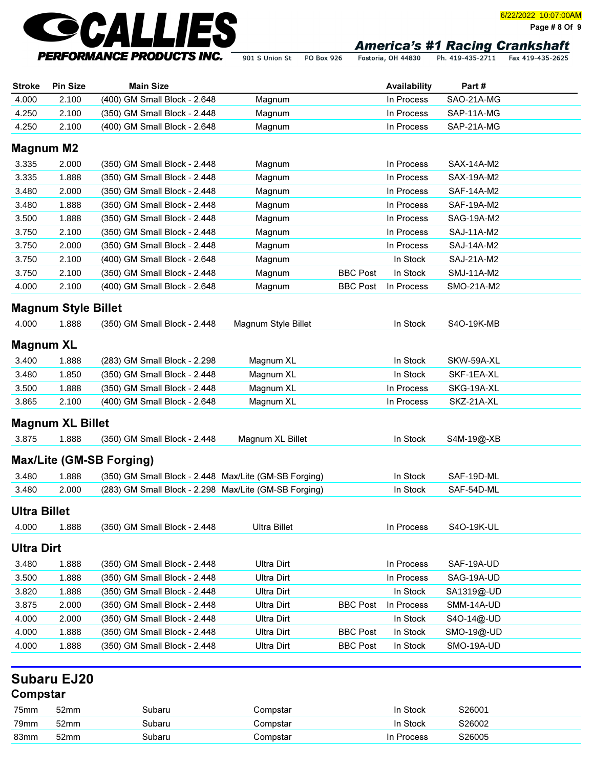

Fostoria, OH 44830 901 S Union St PO Box 926

Ph. 419-435-2711 Fax 419-435-2625

| <b>Stroke</b>       | <b>Pin Size</b>            | <b>Main Size</b>                                      |                     |                 | Availability | Part#      |  |
|---------------------|----------------------------|-------------------------------------------------------|---------------------|-----------------|--------------|------------|--|
| 4.000               | 2.100                      | (400) GM Small Block - 2.648                          | Magnum              |                 | In Process   | SAO-21A-MG |  |
| 4.250               | 2.100                      | (350) GM Small Block - 2.448                          | Magnum              |                 | In Process   | SAP-11A-MG |  |
| 4.250               | 2.100                      | (400) GM Small Block - 2.648                          | Magnum              |                 | In Process   | SAP-21A-MG |  |
|                     | <b>Magnum M2</b>           |                                                       |                     |                 |              |            |  |
| 3.335               | 2.000                      | (350) GM Small Block - 2.448                          | Magnum              |                 | In Process   | SAX-14A-M2 |  |
| 3.335               | 1.888                      | (350) GM Small Block - 2.448                          | Magnum              |                 | In Process   | SAX-19A-M2 |  |
| 3.480               | 2.000                      | (350) GM Small Block - 2.448                          | Magnum              |                 | In Process   | SAF-14A-M2 |  |
| 3.480               | 1.888                      | (350) GM Small Block - 2.448                          | Magnum              |                 | In Process   | SAF-19A-M2 |  |
| 3.500               | 1.888                      | (350) GM Small Block - 2.448                          | Magnum              |                 | In Process   | SAG-19A-M2 |  |
| 3.750               | 2.100                      | (350) GM Small Block - 2.448                          | Magnum              |                 | In Process   | SAJ-11A-M2 |  |
| 3.750               | 2.000                      | (350) GM Small Block - 2.448                          | Magnum              |                 | In Process   | SAJ-14A-M2 |  |
| 3.750               | 2.100                      | (400) GM Small Block - 2.648                          | Magnum              |                 | In Stock     | SAJ-21A-M2 |  |
| 3.750               | 2.100                      | (350) GM Small Block - 2.448                          | Magnum              | <b>BBC Post</b> | In Stock     | SMJ-11A-M2 |  |
| 4.000               | 2.100                      | (400) GM Small Block - 2.648                          | Magnum              | <b>BBC Post</b> | In Process   | SMO-21A-M2 |  |
|                     | <b>Magnum Style Billet</b> |                                                       |                     |                 |              |            |  |
|                     |                            |                                                       |                     |                 |              |            |  |
| 4.000               | 1.888                      | (350) GM Small Block - 2.448                          | Magnum Style Billet |                 | In Stock     | S4O-19K-MB |  |
| <b>Magnum XL</b>    |                            |                                                       |                     |                 |              |            |  |
| 3.400               | 1.888                      | (283) GM Small Block - 2.298                          | Magnum XL           |                 | In Stock     | SKW-59A-XL |  |
| 3.480               | 1.850                      | (350) GM Small Block - 2.448                          | Magnum XL           |                 | In Stock     | SKF-1EA-XL |  |
| 3.500               | 1.888                      | (350) GM Small Block - 2.448                          | Magnum XL           |                 | In Process   | SKG-19A-XL |  |
| 3.865               | 2.100                      | (400) GM Small Block - 2.648                          | Magnum XL           |                 | In Process   | SKZ-21A-XL |  |
|                     | <b>Magnum XL Billet</b>    |                                                       |                     |                 |              |            |  |
| 3.875               | 1.888                      | (350) GM Small Block - 2.448                          | Magnum XL Billet    |                 | In Stock     | S4M-19@-XB |  |
|                     |                            |                                                       |                     |                 |              |            |  |
|                     |                            | <b>Max/Lite (GM-SB Forging)</b>                       |                     |                 |              |            |  |
| 3.480               | 1.888                      | (350) GM Small Block - 2.448 Max/Lite (GM-SB Forging) |                     |                 | In Stock     | SAF-19D-ML |  |
| 3.480               | 2.000                      | (283) GM Small Block - 2.298 Max/Lite (GM-SB Forging) |                     |                 | In Stock     | SAF-54D-ML |  |
| <b>Ultra Billet</b> |                            |                                                       |                     |                 |              |            |  |
| 4.000               | 1.888                      | (350) GM Small Block - 2.448                          | <b>Ultra Billet</b> |                 | In Process   | S4O-19K-UL |  |
| <b>Ultra Dirt</b>   |                            |                                                       |                     |                 |              |            |  |
| 3.480               | 1.888                      | (350) GM Small Block - 2.448                          | <b>Ultra Dirt</b>   |                 | In Process   | SAF-19A-UD |  |
| 3.500               | 1.888                      | (350) GM Small Block - 2.448                          | <b>Ultra Dirt</b>   |                 | In Process   | SAG-19A-UD |  |
| 3.820               | 1.888                      | (350) GM Small Block - 2.448                          | <b>Ultra Dirt</b>   |                 | In Stock     | SA1319@-UD |  |
| 3.875               | 2.000                      | (350) GM Small Block - 2.448                          | <b>Ultra Dirt</b>   | <b>BBC Post</b> | In Process   | SMM-14A-UD |  |
| 4.000               | 2.000                      | (350) GM Small Block - 2.448                          | <b>Ultra Dirt</b>   |                 | In Stock     | S4O-14@-UD |  |
| 4.000               | 1.888                      | (350) GM Small Block - 2.448                          | <b>Ultra Dirt</b>   | <b>BBC Post</b> | In Stock     | SMO-19@-UD |  |
| 4.000               | 1.888                      | (350) GM Small Block - 2.448                          | <b>Ultra Dirt</b>   | <b>BBC Post</b> | In Stock     | SMO-19A-UD |  |
|                     |                            |                                                       |                     |                 |              |            |  |
|                     | <b>Subaru EJ20</b>         |                                                       |                     |                 |              |            |  |
| Compstar            |                            |                                                       |                     |                 |              |            |  |
| 75mm                | 52mm                       | Subaru                                                | Compstar            |                 | In Stock     | S26001     |  |
| 79mm                | 52mm                       | Subaru                                                | Compstar            |                 | In Stock     | S26002     |  |
| 83mm                | 52mm                       | Subaru                                                | Compstar            |                 | In Process   | S26005     |  |

Page # 8 Of 9